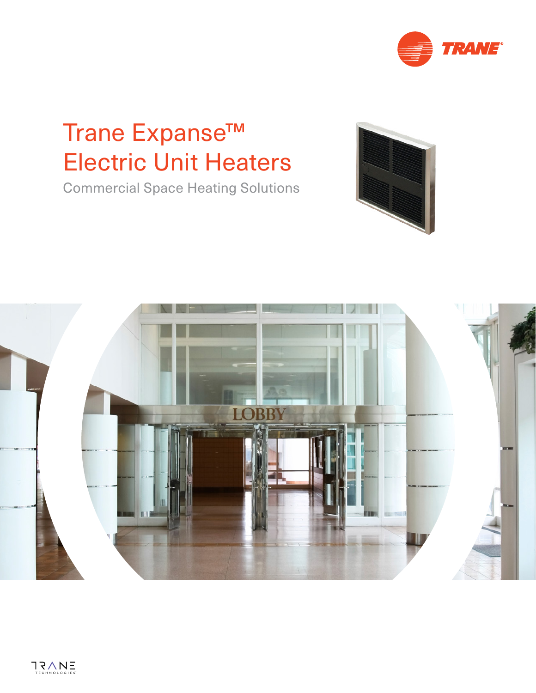

# Trane Expanse<sup>™</sup> Electric Unit Heaters

Commercial Space Heating Solutions



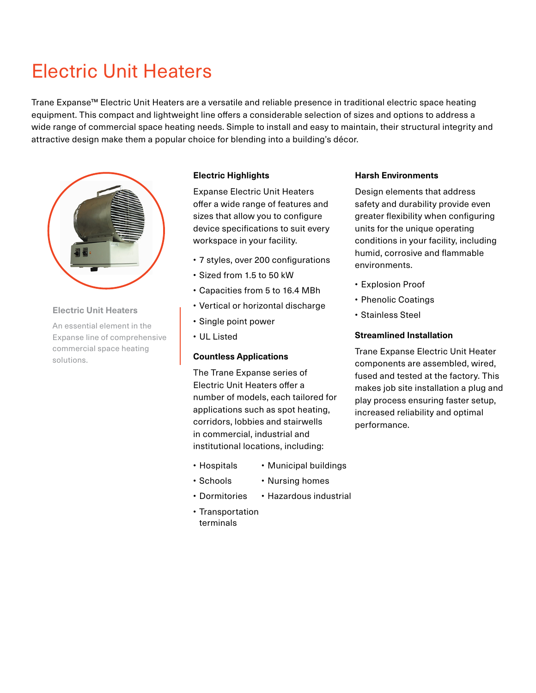## Electric Unit Heaters

Trane Expanse™ Electric Unit Heaters are a versatile and reliable presence in traditional electric space heating equipment. This compact and lightweight line offers a considerable selection of sizes and options to address a wide range of commercial space heating needs. Simple to install and easy to maintain, their structural integrity and attractive design make them a popular choice for blending into a building's décor.



#### **Electric Unit Heaters**

An essential element in the Expanse line of comprehensive commercial space heating solutions.

#### **Electric Highlights**

Expanse Electric Unit Heaters offer a wide range of features and sizes that allow you to configure device specifications to suit every workspace in your facility.

- 7 styles, over 200 configurations
- Sized from 1.5 to 50 kW
- Capacities from 5 to 16.4 MBh
- Vertical or horizontal discharge
- Single point power
- UL Listed

#### **Countless Applications**

The Trane Expanse series of Electric Unit Heaters offer a number of models, each tailored for applications such as spot heating, corridors, lobbies and stairwells in commercial, industrial and institutional locations, including:

- Hospitals • Municipal buildings
- Schools • Nursing homes
- Dormitories • Hazardous industrial
- Transportation terminals

#### **Harsh Environments**

Design elements that address safety and durability provide even greater flexibility when configuring units for the unique operating conditions in your facility, including humid, corrosive and flammable environments.

- Explosion Proof
- Phenolic Coatings
- Stainless Steel

#### **Streamlined Installation**

Trane Expanse Electric Unit Heater components are assembled, wired, fused and tested at the factory. This makes job site installation a plug and play process ensuring faster setup, increased reliability and optimal performance.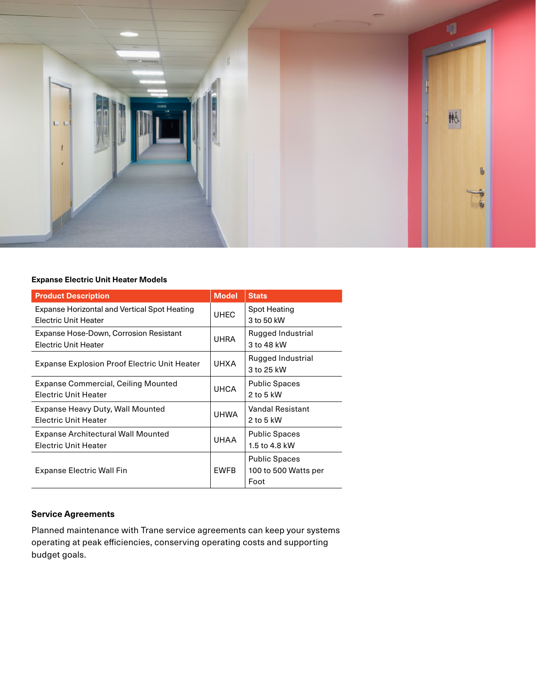

#### **Expanse Electric Unit Heater Models**

| <b>Product Description</b>                                                         | <b>Model</b> | <b>Stats</b>                                         |
|------------------------------------------------------------------------------------|--------------|------------------------------------------------------|
| <b>Expanse Horizontal and Vertical Spot Heating</b><br><b>Electric Unit Heater</b> | <b>UHEC</b>  | Spot Heating<br>3 to 50 kW                           |
| Expanse Hose-Down, Corrosion Resistant<br><b>Electric Unit Heater</b>              | <b>UHRA</b>  | Rugged Industrial<br>3 to 48 kW                      |
| Expanse Explosion Proof Electric Unit Heater                                       | <b>UHXA</b>  | Rugged Industrial<br>3 to 25 kW                      |
| Expanse Commercial, Ceiling Mounted<br><b>Electric Unit Heater</b>                 | <b>UHCA</b>  | <b>Public Spaces</b><br>$2$ to 5 kW                  |
| Expanse Heavy Duty, Wall Mounted<br><b>Electric Unit Heater</b>                    | <b>UHWA</b>  | Vandal Resistant<br>$2$ to 5 kW                      |
| <b>Expanse Architectural Wall Mounted</b><br><b>Electric Unit Heater</b>           | <b>UHAA</b>  | <b>Public Spaces</b><br>1.5 to 4.8 kW                |
| Expanse Electric Wall Fin                                                          | EWFB         | <b>Public Spaces</b><br>100 to 500 Watts per<br>Foot |

#### **Service Agreements**

Planned maintenance with Trane service agreements can keep your systems operating at peak efficiencies, conserving operating costs and supporting budget goals.